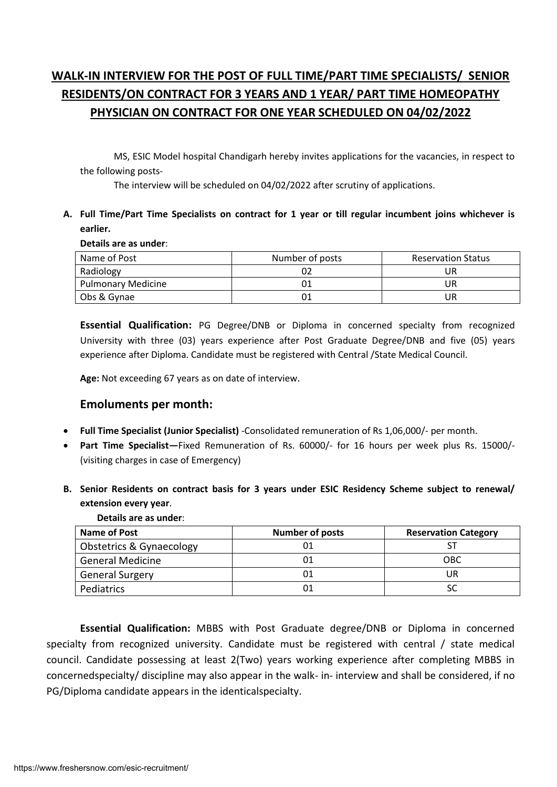# **WALK-IN INTERVIEW FOR THE POST OF FULL TIME/PART TIME SPECIALISTS/ SENIOR RESIDENTS/ON CONTRACT FOR 3 YEARS AND 1 YEAR/ PART TIME HOMEOPATHY PHYSICIAN ON CONTRACT FOR ONE YEAR SCHEDULED ON 04/02/2022**

MS, ESIC Model hospital Chandigarh hereby invites applications for the vacancies, in respect to the following posts-

The interview will be scheduled on 04/02/2022 after scrutiny of applications.

## **A. Full Time/Part Time Specialists on contract for 1 year or till regular incumbent joins whichever is earlier.**

### **Details are as under**:

| Name of Post              | Number of posts | <b>Reservation Status</b> |
|---------------------------|-----------------|---------------------------|
| Radiology                 |                 |                           |
| <b>Pulmonary Medicine</b> |                 | IJR                       |
| Obs & Gynae               |                 | IJR                       |

**Essential Qualification:** PG Degree/DNB or Diploma in concerned specialty from recognized University with three (03) years experience after Post Graduate Degree/DNB and five (05) years experience after Diploma. Candidate must be registered with Central /State Medical Council.

**Age:** Not exceeding 67 years as on date of interview.

# **Emoluments per month:**

- **Full Time Specialist (Junior Specialist)** -Consolidated remuneration of Rs 1,06,000/- per month.
- **Part Time Specialist—**Fixed Remuneration of Rs. 60000/- for 16 hours per week plus Rs. 15000/- (visiting charges in case of Emergency)
- **B. Senior Residents on contract basis for 3 years under ESIC Residency Scheme subject to renewal/ extension every year**.

| Name of Post             | <b>Number of posts</b> | <b>Reservation Category</b> |
|--------------------------|------------------------|-----------------------------|
| Obstetrics & Gynaecology |                        |                             |
| <b>General Medicine</b>  |                        | <b>OBC</b>                  |
| <b>General Surgery</b>   |                        | JR                          |
| Pediatrics               |                        |                             |
|                          |                        |                             |

## **Details are as under**:

**Essential Qualification:** MBBS with Post Graduate degree/DNB or Diploma in concerned specialty from recognized university. Candidate must be registered with central / state medical council. Candidate possessing at least 2(Two) years working experience after completing MBBS in concernedspecialty/ discipline may also appear in the walk- in- interview and shall be considered, if no PG/Diploma candidate appears in the identicalspecialty.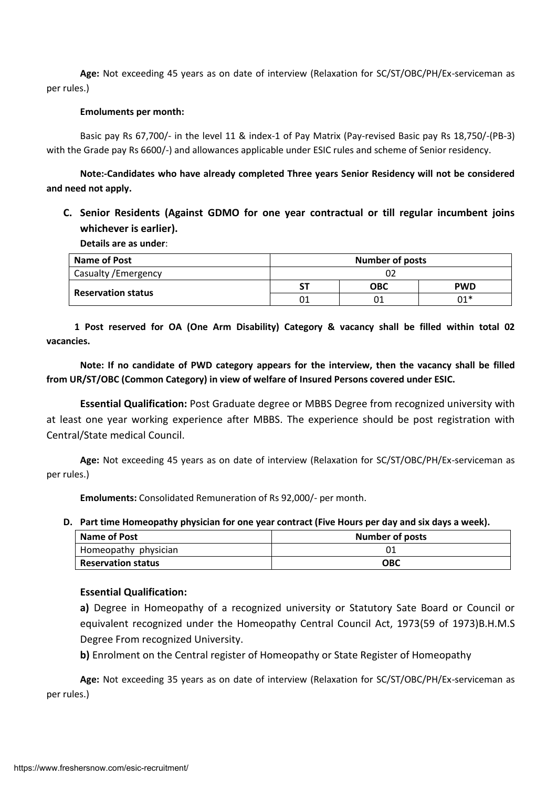**Age:** Not exceeding 45 years as on date of interview (Relaxation for SC/ST/OBC/PH/Ex-serviceman as per rules.)

#### **Emoluments per month:**

Basic pay Rs 67,700/- in the level 11 & index-1 of Pay Matrix (Pay-revised Basic pay Rs 18,750/-(PB-3) with the Grade pay Rs 6600/-) and allowances applicable under ESIC rules and scheme of Senior residency.

**Note:-Candidates who have already completed Three years Senior Residency will not be considered and need not apply.**

**C. Senior Residents (Against GDMO for one year contractual or till regular incumbent joins whichever is earlier).**

**Details are as under**:

| <b>Name of Post</b>       | <b>Number of posts</b> |            |            |
|---------------------------|------------------------|------------|------------|
| Casualty / Emergency      | 02                     |            |            |
|                           | SΤ                     | <b>OBC</b> | <b>PWD</b> |
| <b>Reservation status</b> |                        | 01         | $01*$      |

 **1 Post reserved for OA (One Arm Disability) Category & vacancy shall be filled within total 02 vacancies.**

**Note: If no candidate of PWD category appears for the interview, then the vacancy shall be filled from UR/ST/OBC (Common Category) in view of welfare of Insured Persons covered under ESIC.**

**Essential Qualification:** Post Graduate degree or MBBS Degree from recognized university with at least one year working experience after MBBS. The experience should be post registration with Central/State medical Council.

**Age:** Not exceeding 45 years as on date of interview (Relaxation for SC/ST/OBC/PH/Ex-serviceman as per rules.)

**Emoluments:** Consolidated Remuneration of Rs 92,000/- per month.

### **D. Part time Homeopathy physician for one year contract (Five Hours per day and six days a week).**

| <b>Name of Post</b>       | Number of posts |  |
|---------------------------|-----------------|--|
| Homeopathy physician      |                 |  |
| <b>Reservation status</b> | ОВС             |  |

## **Essential Qualification:**

**a)** Degree in Homeopathy of a recognized university or Statutory Sate Board or Council or equivalent recognized under the Homeopathy Central Council Act, 1973(59 of 1973)B.H.M.S Degree From recognized University.

**b)** Enrolment on the Central register of Homeopathy or State Register of Homeopathy

**Age:** Not exceeding 35 years as on date of interview (Relaxation for SC/ST/OBC/PH/Ex-serviceman as per rules.)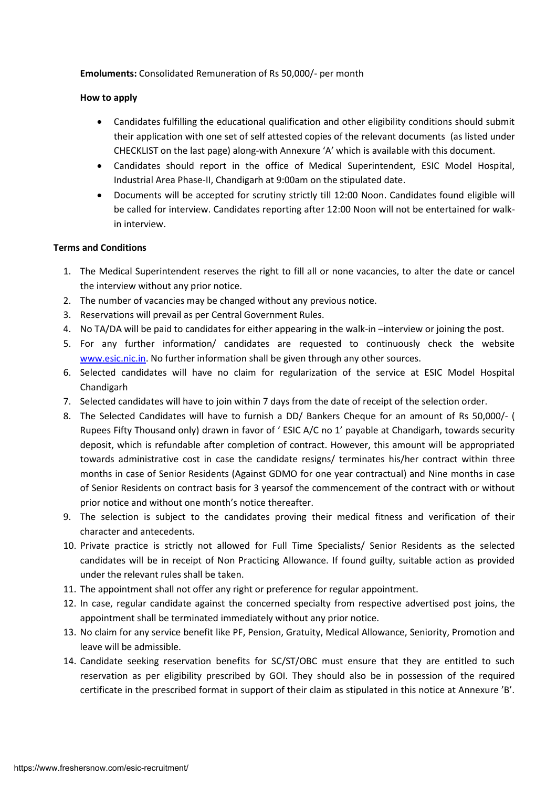## **Emoluments:** Consolidated Remuneration of Rs 50,000/- per month

## **How to apply**

- Candidates fulfilling the educational qualification and other eligibility conditions should submit their application with one set of self attested copies of the relevant documents (as listed under CHECKLIST on the last page) along-with Annexure 'A' which is available with this document.
- Candidates should report in the office of Medical Superintendent, ESIC Model Hospital, Industrial Area Phase-II, Chandigarh at 9:00am on the stipulated date.
- Documents will be accepted for scrutiny strictly till 12:00 Noon. Candidates found eligible will be called for interview. Candidates reporting after 12:00 Noon will not be entertained for walkin interview.

## **Terms and Conditions**

- 1. The Medical Superintendent reserves the right to fill all or none vacancies, to alter the date or cancel the interview without any prior notice.
- 2. The number of vacancies may be changed without any previous notice.
- 3. Reservations will prevail as per Central Government Rules.
- 4. No TA/DA will be paid to candidates for either appearing in the walk-in –interview or joining the post.
- 5. For any further information/ candidates are requested to continuously check the website [www.esic.nic.in.](http://www.esic.nic.in/) No further information shall be given through any other sources.
- 6. Selected candidates will have no claim for regularization of the service at ESIC Model Hospital Chandigarh
- 7. Selected candidates will have to join within 7 days from the date of receipt of the selection order.
- 8. The Selected Candidates will have to furnish a DD/ Bankers Cheque for an amount of Rs 50,000/- ( Rupees Fifty Thousand only) drawn in favor of ' ESIC A/C no 1' payable at Chandigarh, towards security deposit, which is refundable after completion of contract. However, this amount will be appropriated towards administrative cost in case the candidate resigns/ terminates his/her contract within three months in case of Senior Residents (Against GDMO for one year contractual) and Nine months in case of Senior Residents on contract basis for 3 yearsof the commencement of the contract with or without prior notice and without one month's notice thereafter.
- 9. The selection is subject to the candidates proving their medical fitness and verification of their character and antecedents.
- 10. Private practice is strictly not allowed for Full Time Specialists/ Senior Residents as the selected candidates will be in receipt of Non Practicing Allowance. If found guilty, suitable action as provided under the relevant rules shall be taken.
- 11. The appointment shall not offer any right or preference for regular appointment.
- 12. In case, regular candidate against the concerned specialty from respective advertised post joins, the appointment shall be terminated immediately without any prior notice.
- 13. No claim for any service benefit like PF, Pension, Gratuity, Medical Allowance, Seniority, Promotion and leave will be admissible.
- 14. Candidate seeking reservation benefits for SC/ST/OBC must ensure that they are entitled to such reservation as per eligibility prescribed by GOI. They should also be in possession of the required certificate in the prescribed format in support of their claim as stipulated in this notice at Annexure 'B'.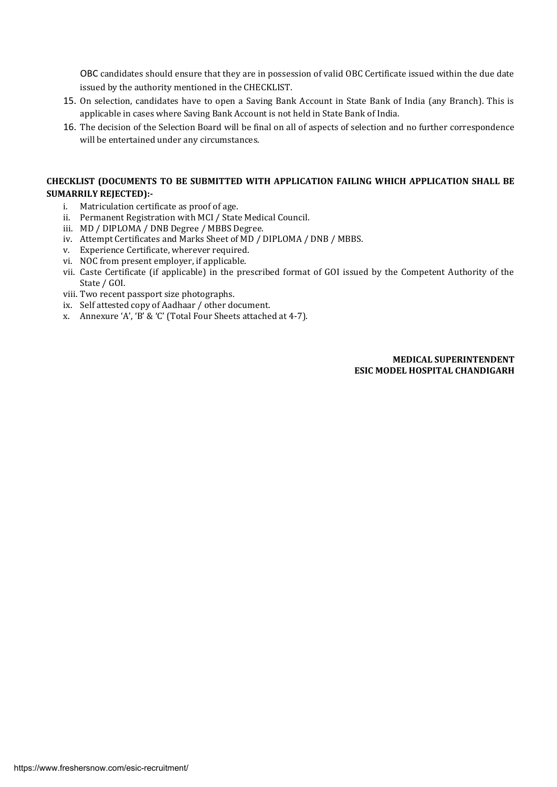OBC candidates should ensure that they are in possession of valid OBC Certificate issued within the due date issued by the authority mentioned in the CHECKLIST.

- 15. On selection, candidates have to open a Saving Bank Account in State Bank of India (any Branch). This is applicable in cases where Saving Bank Account is not held in State Bank of India.
- 16. The decision of the Selection Board will be final on all of aspects of selection and no further correspondence will be entertained under any circumstances.

#### **CHECKLIST (DOCUMENTS TO BE SUBMITTED WITH APPLICATION FAILING WHICH APPLICATION SHALL BE SUMARRILY REJECTED):-**

- i. Matriculation certificate as proof of age.
- ii. Permanent Registration with MCI / State Medical Council.
- iii. MD / DIPLOMA / DNB Degree / MBBS Degree.
- iv. Attempt Certificates and Marks Sheet of MD / DIPLOMA / DNB / MBBS.
- v. Experience Certificate, wherever required.
- vi. NOC from present employer, if applicable.
- vii. Caste Certificate (if applicable) in the prescribed format of GOI issued by the Competent Authority of the State / GOI.
- viii. Two recent passport size photographs.
- ix. Self attested copy of Aadhaar / other document.
- x. Annexure 'A', 'B' & 'C' (Total Four Sheets attached at 4-7).

#### **MEDICAL SUPERINTENDENT ESIC MODEL HOSPITAL CHANDIGARH**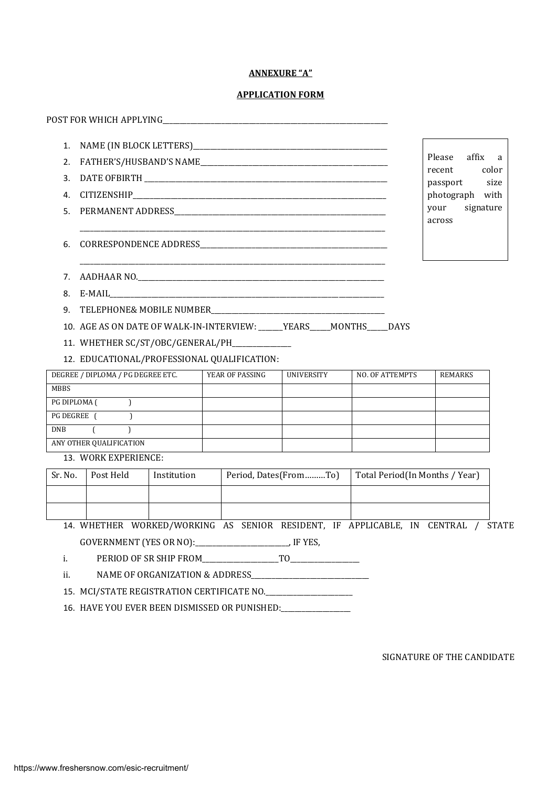#### **ANNEXURE "A"**

#### **APPLICATION FORM**

|    |                                                                          | Please affix a<br>recent color |
|----|--------------------------------------------------------------------------|--------------------------------|
|    |                                                                          | passport size                  |
|    |                                                                          | photograph with                |
|    |                                                                          | your signature<br>across       |
| 6  |                                                                          |                                |
|    |                                                                          |                                |
|    |                                                                          |                                |
| 9. |                                                                          |                                |
|    | 10. AGE AS ON DATE OF WALK-IN-INTERVIEW: _____ YEARS____ MONTHS____ DAYS |                                |
|    | 11. WHETHER SC/ST/OBC/GENERAL/PH_____________                            |                                |

12. EDUCATIONAL/PROFESSIONAL QUALIFICATION:

| DEGREE / DIPLOMA / PG DEGREE ETC. | YEAR OF PASSING | UNIVERSITY | NO. OF ATTEMPTS | <b>REMARKS</b> |
|-----------------------------------|-----------------|------------|-----------------|----------------|
| MBBS                              |                 |            |                 |                |
| PG DIPLOMA (                      |                 |            |                 |                |
| <b>PG DEGREE</b> (                |                 |            |                 |                |
| <b>DNB</b>                        |                 |            |                 |                |
| ANY OTHER QUALIFICATION           |                 |            |                 |                |

13. WORK EXPERIENCE:

| Sr. No. | Post Held | Institution | Period, Dates(FromTo) | Total Period(In Months / Year) |
|---------|-----------|-------------|-----------------------|--------------------------------|
|         |           |             |                       |                                |
|         |           |             |                       |                                |

14. WHETHER WORKED/WORKING AS SENIOR RESIDENT, IF APPLICABLE, IN CENTRAL / STATE GOVERNMENT (YES OR NO):\_\_\_\_\_\_\_\_\_\_\_\_\_\_\_\_\_\_\_\_\_\_\_\_\_\_\_, IF YES,

i. PERIOD OF SR SHIP FROM TO

ii. NAME OF ORGANIZATION & ADDRESS\_\_\_\_\_\_\_\_\_\_\_\_\_\_\_\_\_\_\_\_\_\_\_\_\_\_\_\_\_\_\_\_\_\_

15. MCI/STATE REGISTRATION CERTIFICATE NO.\_\_\_\_\_\_\_\_\_\_\_\_\_\_\_\_\_\_\_\_\_\_\_\_\_

16. HAVE YOU EVER BEEN DISMISSED OR PUNISHED:\_\_\_\_\_\_\_\_\_\_\_\_\_\_\_\_\_\_\_\_

SIGNATURE OF THE CANDIDATE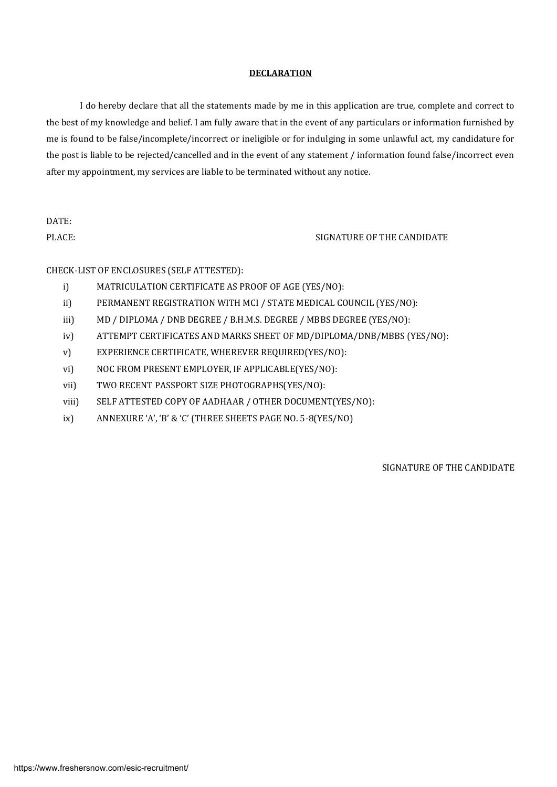#### **DECLARATION**

I do hereby declare that all the statements made by me in this application are true, complete and correct to the best of my knowledge and belief. I am fully aware that in the event of any particulars or information furnished by me is found to be false/incomplete/incorrect or ineligible or for indulging in some unlawful act, my candidature for the post is liable to be rejected/cancelled and in the event of any statement / information found false/incorrect even after my appointment, my services are liable to be terminated without any notice.

DATE:

PLACE: SIGNATURE OF THE CANDIDATE

CHECK-LIST OF ENCLOSURES (SELF ATTESTED):

- i) MATRICULATION CERTIFICATE AS PROOF OF AGE (YES/NO):
- ii) PERMANENT REGISTRATION WITH MCI / STATE MEDICAL COUNCIL (YES/NO):
- iii) MD / DIPLOMA / DNB DEGREE / B.H.M.S. DEGREE / MBBS DEGREE (YES/NO):
- iv) ATTEMPT CERTIFICATES AND MARKS SHEET OF MD/DIPLOMA/DNB/MBBS (YES/NO):
- v) EXPERIENCE CERTIFICATE, WHEREVER REQUIRED(YES/NO):
- vi) NOC FROM PRESENT EMPLOYER, IF APPLICABLE(YES/NO):
- vii) TWO RECENT PASSPORT SIZE PHOTOGRAPHS(YES/NO):
- viii) SELF ATTESTED COPY OF AADHAAR / OTHER DOCUMENT(YES/NO):
- ix) ANNEXURE 'A', 'B' & 'C' (THREE SHEETS PAGE NO. 5-8(YES/NO)

SIGNATURE OF THE CANDIDATE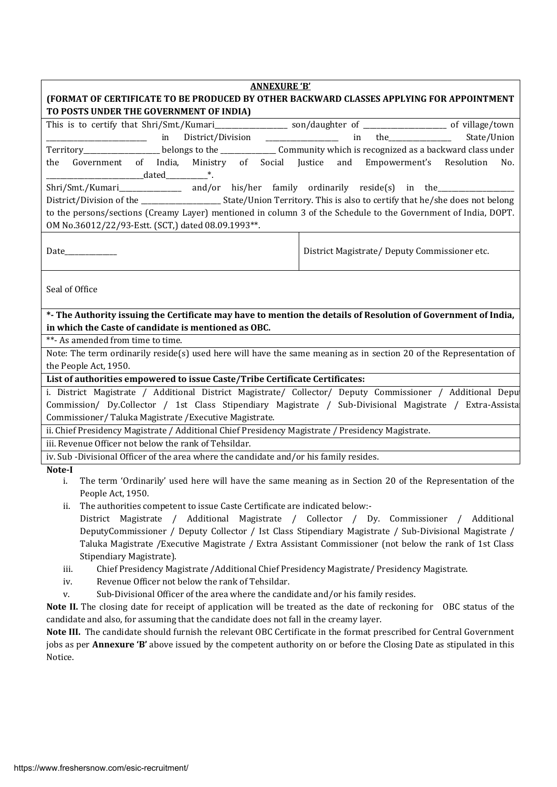| <b>ANNEXURE 'B'</b>                                                                                                                                                                            |  |  |
|------------------------------------------------------------------------------------------------------------------------------------------------------------------------------------------------|--|--|
| (FORMAT OF CERTIFICATE TO BE PRODUCED BY OTHER BACKWARD CLASSES APPLYING FOR APPOINTMENT                                                                                                       |  |  |
| TO POSTS UNDER THE GOVERNMENT OF INDIA)                                                                                                                                                        |  |  |
|                                                                                                                                                                                                |  |  |
| $\mathsf{in}$ the<br>District/Division _______________<br>State/Union<br><u>in in the set of the set of the set of the set of the set of the set of the set of the set of the set of the s</u> |  |  |
| Territory___________________belongs to the ________________Community which is recognized as a backward class under                                                                             |  |  |
| and<br>Government of India, Ministry of Social Justice<br>Empowerment's Resolution<br>the<br>No.                                                                                               |  |  |
|                                                                                                                                                                                                |  |  |
| Shri/Smt./Kumari__________________ and/or his/her family ordinarily reside(s) in the______________                                                                                             |  |  |
|                                                                                                                                                                                                |  |  |
| to the persons/sections (Creamy Layer) mentioned in column 3 of the Schedule to the Government of India, DOPT.                                                                                 |  |  |
| OM No.36012/22/93-Estt. (SCT,) dated 08.09.1993**.                                                                                                                                             |  |  |
|                                                                                                                                                                                                |  |  |
| District Magistrate/Deputy Commissioner etc.<br>Date                                                                                                                                           |  |  |
|                                                                                                                                                                                                |  |  |
|                                                                                                                                                                                                |  |  |
| Seal of Office                                                                                                                                                                                 |  |  |
| *- The Authority issuing the Certificate may have to mention the details of Resolution of Government of India,                                                                                 |  |  |
| in which the Caste of candidate is mentioned as OBC.                                                                                                                                           |  |  |
| **- As amended from time to time.                                                                                                                                                              |  |  |
| Note: The term ordinarily reside(s) used here will have the same meaning as in section 20 of the Representation of                                                                             |  |  |
| the People Act, 1950.                                                                                                                                                                          |  |  |
| List of authorities empowered to issue Caste/Tribe Certificate Certificates:                                                                                                                   |  |  |
| i. District Magistrate / Additional District Magistrate/ Collector/ Deputy Commissioner / Additional Depu                                                                                      |  |  |
| Commission/ Dy.Collector / 1st Class Stipendiary Magistrate / Sub-Divisional Magistrate / Extra-Assista                                                                                        |  |  |
| Commissioner/Taluka Magistrate / Executive Magistrate.                                                                                                                                         |  |  |
| ii. Chief Presidency Magistrate / Additional Chief Presidency Magistrate / Presidency Magistrate.                                                                                              |  |  |
| iii. Revenue Officer not below the rank of Tehsildar.                                                                                                                                          |  |  |
| iv. Sub-Divisional Officer of the area where the candidate and/or his family resides.                                                                                                          |  |  |
| Note-I                                                                                                                                                                                         |  |  |
| The term 'Ordinarily' used here will have the same meaning as in Section 20 of the Representation of the<br>i.                                                                                 |  |  |
| People Act, 1950.                                                                                                                                                                              |  |  |
| The authorities competent to issue Caste Certificate are indicated below:-<br>ij.                                                                                                              |  |  |
| District Magistrate / Additional Magistrate / Collector / Dy. Commissioner / Additional                                                                                                        |  |  |
| DeputyCommissioner / Deputy Collector / Ist Class Stipendiary Magistrate / Sub-Divisional Magistrate /                                                                                         |  |  |
| Taluka Magistrate / Executive Magistrate / Extra Assistant Commissioner (not below the rank of 1st Class                                                                                       |  |  |
| Stipendiary Magistrate).                                                                                                                                                                       |  |  |
| Chief Presidency Magistrate / Additional Chief Presidency Magistrate/ Presidency Magistrate.<br>iii.                                                                                           |  |  |
| Revenue Officer not below the rank of Tehsildar.<br>iv.                                                                                                                                        |  |  |
| Sub-Divisional Officer of the area where the candidate and/or his family resides.<br>v.                                                                                                        |  |  |

**Note II.** The closing date for receipt of application will be treated as the date of reckoning for OBC status of the candidate and also, for assuming that the candidate does not fall in the creamy layer.

**Note III.** The candidate should furnish the relevant OBC Certificate in the format prescribed for Central Government jobs as per **Annexure 'B'** above issued by the competent authority on or before the Closing Date as stipulated in this Notice.